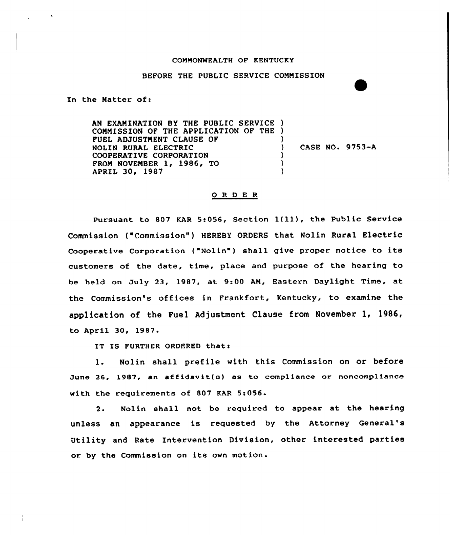## CONNONNEALTH OF KENTUCKY

## BEfORE THE PUBLIC SERVICE COMMISSION

In the Matter of:

AN EXAMINATION BY THE PUBLIC SERVICE ) COMMISSION OF THE APPLICATION OF THE ) FUEL ADJUSTMENT CLAUSE Of NOLIN RURAL ELECTRIC COOPERATIVE CORPORATION FROM NOVEMBER 1, 1986, TO APRIL 30, 1987 ) ) CASE NO. 9753-A ) ) )

## 0 <sup>R</sup> <sup>D</sup> <sup>E</sup> <sup>R</sup>

Pursuant to <sup>807</sup> KAR 5:056, Section l(ll), the Public Service Commission ("Commission") HEREBY ORDERS that Nolin Rural Electric Cooperative Corporation ("Nolin") shall give proper notice to its customers of the date, time, place and purpose of the hearing to be held on July 23, 1987, at 9:00 AN, Eastern Daylight Time, at the Commission's offices in Frankfort, Kentucky, to examine the application of the Fuel Adjustment Clause from November 1, 1986, to April 30, 1987.

IT IS FURTHER ORDERED that:

1. Nolin shall prefile with this Commission on or before June 26, 1987, an affidavit(s) as to compliance or noncompliance with the requirements of 807 KAR 5:056.

 $2.$ Nolin shall not be required to appear at the hearing unless an appearance is requested by the Attorney General' Utility and Rate Intervention Division, other interested parties or. by the Commission on its own motion.